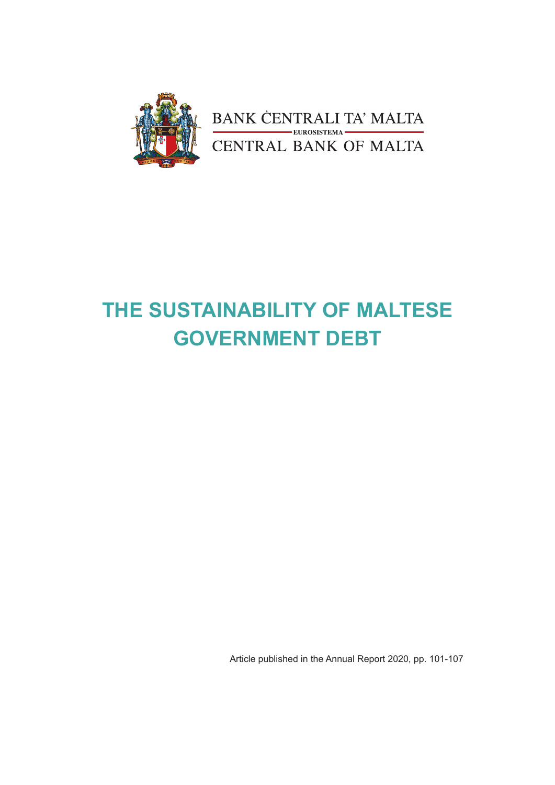

# **THE SUSTAINABILITY OF MALTESE GOVERNMENT DEBT**

Article published in the Annual Report 2020, pp. 101-107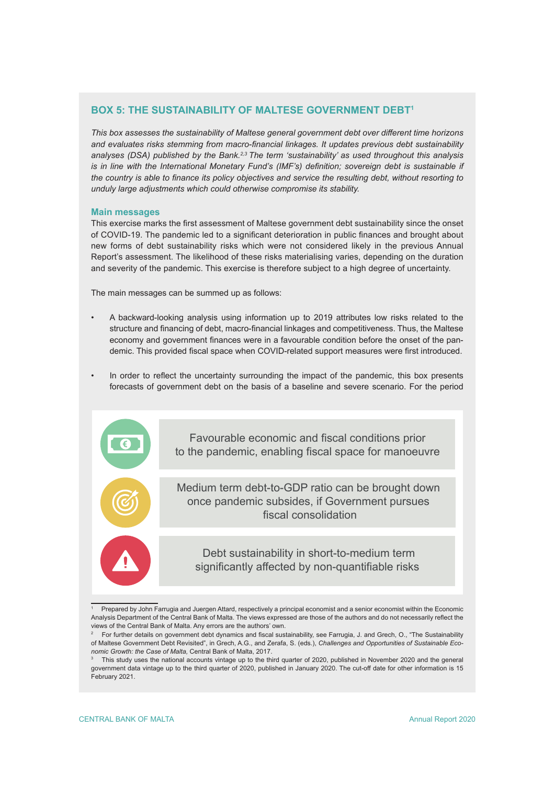## **BOX 5: THE SUSTAINABILITY OF MALTESE GOVERNMENT DEBT1**

*This box assesses the sustainability of Maltese general government debt over different time horizons and evaluates risks stemming from macro-financial linkages. It updates previous debt sustainability analyses (DSA) published by the Bank.2,3 The term 'sustainability' as used throughout this analysis is in line with the International Monetary Fund's (IMF's) definition; sovereign debt is sustainable if the country is able to finance its policy objectives and service the resulting debt, without resorting to unduly large adjustments which could otherwise compromise its stability.*

## **Main messages**

This exercise marks the first assessment of Maltese government debt sustainability since the onset of COVID-19. The pandemic led to a significant deterioration in public finances and brought about new forms of debt sustainability risks which were not considered likely in the previous Annual Report's assessment. The likelihood of these risks materialising varies, depending on the duration and severity of the pandemic. This exercise is therefore subject to a high degree of uncertainty.

The main messages can be summed up as follows:

- A backward-looking analysis using information up to 2019 attributes low risks related to the structure and financing of debt, macro-financial linkages and competitiveness. Thus, the Maltese economy and government finances were in a favourable condition before the onset of the pandemic. This provided fiscal space when COVID-related support measures were first introduced.
- In order to reflect the uncertainty surrounding the impact of the pandemic, this box presents forecasts of government debt on the basis of a baseline and severe scenario. For the period

Favourable economic and fiscal conditions prior to the pandemic, enabling fiscal space for manoeuvre

Medium term debt-to-GDP ratio can be brought down once pandemic subsides, if Government pursues fiscal consolidation

Debt sustainability in short-to-medium term significantly affected by non-quantifiable risks

<sup>1</sup> Prepared by John Farrugia and Juergen Attard, respectively a principal economist and a senior economist within the Economic Analysis Department of the Central Bank of Malta. The views expressed are those of the authors and do not necessarily reflect the views of the Central Bank of Malta. Any errors are the authors' own.

<sup>2</sup> For further details on government debt dynamics and fiscal sustainability, see Farrugia, J. and Grech, O., "The Sustainability of Maltese Government Debt Revisited", in Grech, A.G., and Zerafa, S. (eds.), *Challenges and Opportunities of Sustainable Economic Growth: the Case of Malta,* Central Bank of Malta, 2017.

<sup>3</sup> This study uses the national accounts vintage up to the third quarter of 2020, published in November 2020 and the general government data vintage up to the third quarter of 2020, published in January 2020. The cut-off date for other information is 15 February 2021.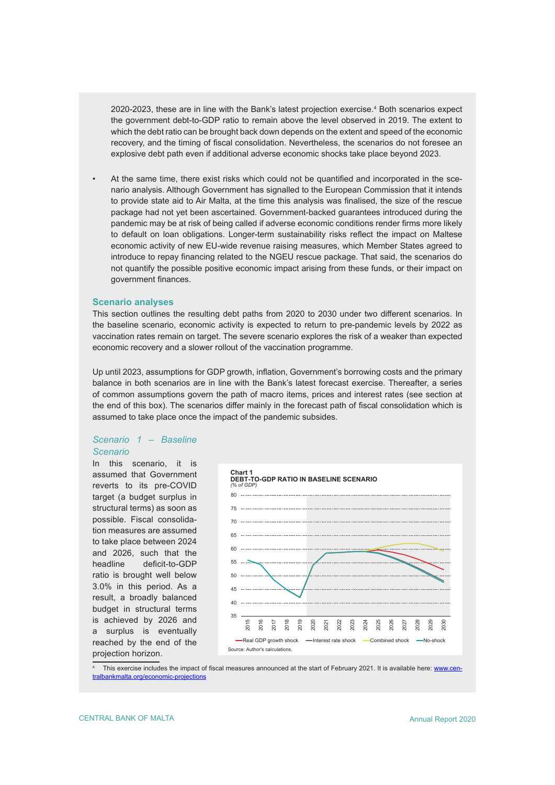2020-2023, these are in line with the Bank's latest projection exercise.<sup>4</sup> Both scenarios expect the government debt-to-GDP ratio to remain above the level observed in 2019. The extent to which the debt ratio can be brought back down depends on the extent and speed of the economic recovery, and the timing of fiscal consolidation. Nevertheless, the scenarios do not foresee an explosive debt path even if additional adverse economic shocks take place beyond 2023.

• At the same time, there exist risks which could not be quantified and incorporated in the scenario analysis. Although Government has signalled to the European Commission that it intends to provide state aid to Air Malta, at the time this analysis was finalised, the size of the rescue package had not yet been ascertained. Government-backed guarantees introduced during the pandemic may be at risk of being called if adverse economic conditions render firms more likely to default on loan obligations. Longer-term sustainability risks reflect the impact on Maltese economic activity of new EU-wide revenue raising measures, which Member States agreed to introduce to repay financing related to the NGEU rescue package. That said, the scenarios do not quantify the possible positive economic impact arising from these funds, or their impact on government finances.

## **Scenario analyses**

This section outlines the resulting debt paths from 2020 to 2030 under two different scenarios. In the baseline scenario, economic activity is expected to return to pre-pandemic levels by 2022 as vaccination rates remain on target. The severe scenario explores the risk of a weaker than expected economic recovery and a slower rollout of the vaccination programme.

Up until 2023, assumptions for GDP growth, inflation, Government's borrowing costs and the primary balance in both scenarios are in line with the Bank's latest forecast exercise. Thereafter, a series of common assumptions govern the path of macro items, prices and interest rates (see section at the end of this box). The scenarios differ mainly in the forecast path of fiscal consolidation which is assumed to take place once the impact of the pandemic subsides.

## *Scenario 1 – Baseline Scenario*

In this scenario, it is assumed that Government reverts to its pre-COVID target (a budget surplus in structural terms) as soon as possible. Fiscal consolidation measures are assumed to take place between 2024 and 2026, such that the headline deficit-to-GDP ratio is brought well below 3.0% in this period. As a result, a broadly balanced budget in structural terms is achieved by 2026 and a surplus is eventually reached by the end of the projection horizon.



4 This exercise includes the impact of fiscal measures announced at the start of February 2021. It is available here: [www.cen](https://www.centralbankmalta.org/economic-projections)[tralbankmalta.org/economic-projections](https://www.centralbankmalta.org/economic-projections)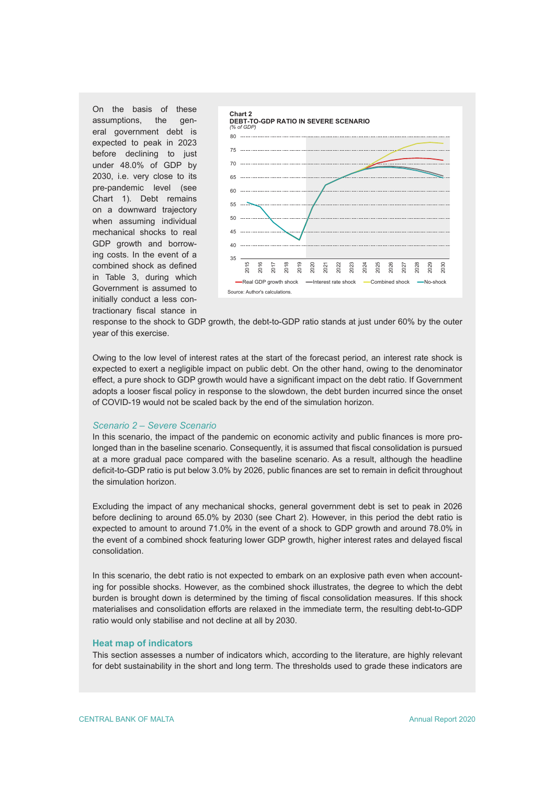On the basis of these assumptions, the general government debt is expected to peak in 2023 before declining to just under 48.0% of GDP by 2030, i.e. very close to its pre-pandemic level (see Chart 1). Debt remains on a downward trajectory when assuming individual mechanical shocks to real GDP growth and borrowing costs. In the event of a combined shock as defined in Table 3, during which Government is assumed to initially conduct a less contractionary fiscal stance in



response to the shock to GDP growth, the debt-to-GDP ratio stands at just under 60% by the outer year of this exercise.

Owing to the low level of interest rates at the start of the forecast period, an interest rate shock is expected to exert a negligible impact on public debt. On the other hand, owing to the denominator effect, a pure shock to GDP growth would have a significant impact on the debt ratio. If Government adopts a looser fiscal policy in response to the slowdown, the debt burden incurred since the onset of COVID-19 would not be scaled back by the end of the simulation horizon.

## *Scenario 2 – Severe Scenario*

In this scenario, the impact of the pandemic on economic activity and public finances is more prolonged than in the baseline scenario. Consequently, it is assumed that fiscal consolidation is pursued at a more gradual pace compared with the baseline scenario. As a result, although the headline deficit-to-GDP ratio is put below 3.0% by 2026, public finances are set to remain in deficit throughout the simulation horizon.

Excluding the impact of any mechanical shocks, general government debt is set to peak in 2026 before declining to around 65.0% by 2030 (see Chart 2). However, in this period the debt ratio is expected to amount to around 71.0% in the event of a shock to GDP growth and around 78.0% in the event of a combined shock featuring lower GDP growth, higher interest rates and delayed fiscal consolidation.

In this scenario, the debt ratio is not expected to embark on an explosive path even when accounting for possible shocks. However, as the combined shock illustrates, the degree to which the debt burden is brought down is determined by the timing of fiscal consolidation measures. If this shock materialises and consolidation efforts are relaxed in the immediate term, the resulting debt-to-GDP ratio would only stabilise and not decline at all by 2030.

## **Heat map of indicators**

This section assesses a number of indicators which, according to the literature, are highly relevant for debt sustainability in the short and long term. The thresholds used to grade these indicators are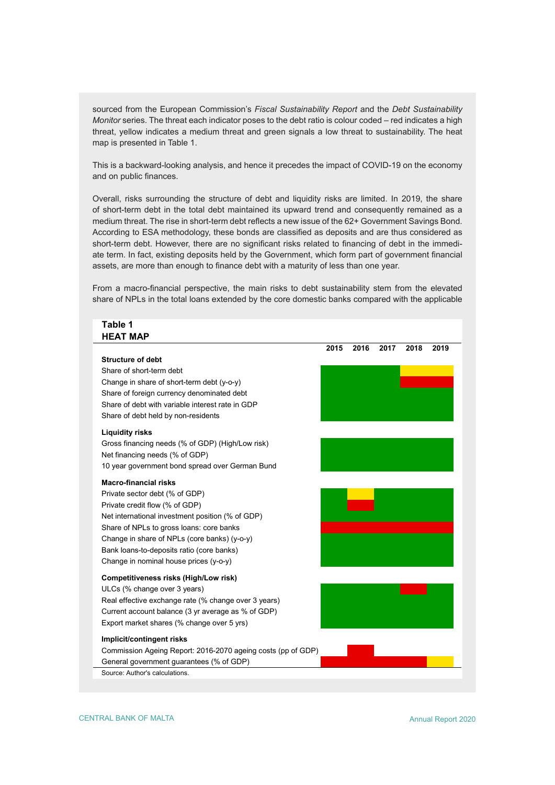sourced from the European Commission's *Fiscal Sustainability Report* and the *Debt Sustainability Monitor* series. The threat each indicator poses to the debt ratio is colour coded – red indicates a high threat, yellow indicates a medium threat and green signals a low threat to sustainability. The heat map is presented in Table 1.

This is a backward-looking analysis, and hence it precedes the impact of COVID-19 on the economy and on public finances.

Overall, risks surrounding the structure of debt and liquidity risks are limited. In 2019, the share of short-term debt in the total debt maintained its upward trend and consequently remained as a medium threat. The rise in short-term debt reflects a new issue of the 62+ Government Savings Bond. According to ESA methodology, these bonds are classified as deposits and are thus considered as short-term debt. However, there are no significant risks related to financing of debt in the immediate term. In fact, existing deposits held by the Government, which form part of government financial assets, are more than enough to finance debt with a maturity of less than one year.

From a macro-financial perspective, the main risks to debt sustainability stem from the elevated share of NPLs in the total loans extended by the core domestic banks compared with the applicable

## **HEAT MAP 2015 2016 2017 2018 2019 Structure of debt** Share of short-term debt Change in share of short-term debt (y-o-y) Share of foreign currency denominated debt Share of debt with variable interest rate in GDP Share of debt held by non-residents **Liquidity risks** Gross financing needs (% of GDP) (High/Low risk) Net financing needs (% of GDP) 10 year government bond spread over German Bund **Macro-financial risks** Private sector debt (% of GDP) Private credit flow (% of GDP) Net international investment position (% of GDP) Share of NPLs to gross loans: core banks Change in share of NPLs (core banks) (y-o-y) Bank loans-to-deposits ratio (core banks) Change in nominal house prices (y-o-y) **Competitiveness risks (High/Low risk)** ULCs (% change over 3 years) Real effective exchange rate (% change over 3 years) Current account balance (3 yr average as % of GDP) Export market shares (% change over 5 yrs) **Implicit/contingent risks** Commission Ageing Report: 2016-2070 ageing costs (pp of GDP) General government guarantees (% of GDP) Source: Author's calculations.

**Table 1**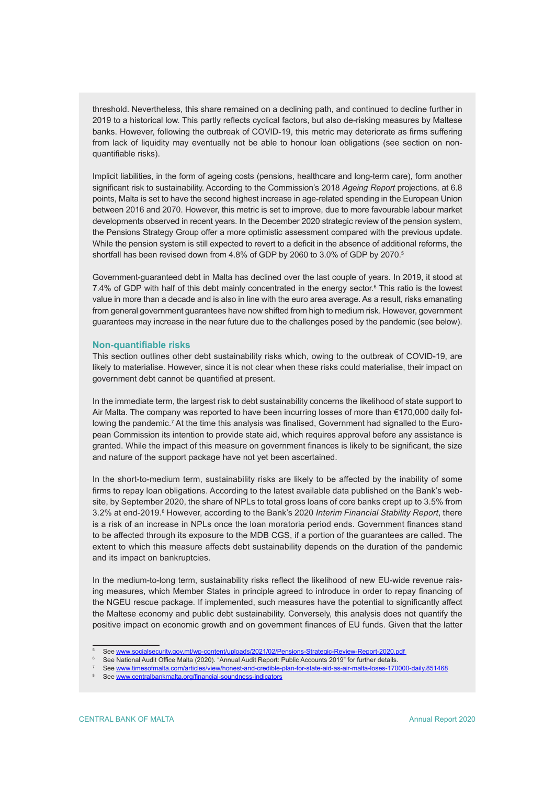threshold. Nevertheless, this share remained on a declining path, and continued to decline further in 2019 to a historical low. This partly reflects cyclical factors, but also de-risking measures by Maltese banks. However, following the outbreak of COVID-19, this metric may deteriorate as firms suffering from lack of liquidity may eventually not be able to honour loan obligations (see section on nonquantifiable risks).

Implicit liabilities, in the form of ageing costs (pensions, healthcare and long-term care), form another significant risk to sustainability. According to the Commission's 2018 *Ageing Report* projections, at 6.8 points, Malta is set to have the second highest increase in age-related spending in the European Union between 2016 and 2070. However, this metric is set to improve, due to more favourable labour market developments observed in recent years. In the December 2020 strategic review of the pension system, the Pensions Strategy Group offer a more optimistic assessment compared with the previous update. While the pension system is still expected to revert to a deficit in the absence of additional reforms, the shortfall has been revised down from 4.8% of GDP by 2060 to 3.0% of GDP by 2070.5

Government-guaranteed debt in Malta has declined over the last couple of years. In 2019, it stood at 7.4% of GDP with half of this debt mainly concentrated in the energy sector.<sup>6</sup> This ratio is the lowest value in more than a decade and is also in line with the euro area average. As a result, risks emanating from general government guarantees have now shifted from high to medium risk. However, government guarantees may increase in the near future due to the challenges posed by the pandemic (see below).

#### **Non-quantifiable risks**

This section outlines other debt sustainability risks which, owing to the outbreak of COVID-19, are likely to materialise. However, since it is not clear when these risks could materialise, their impact on government debt cannot be quantified at present.

In the immediate term, the largest risk to debt sustainability concerns the likelihood of state support to Air Malta. The company was reported to have been incurring losses of more than €170,000 daily following the pandemic.<sup>7</sup> At the time this analysis was finalised, Government had signalled to the European Commission its intention to provide state aid, which requires approval before any assistance is granted. While the impact of this measure on government finances is likely to be significant, the size and nature of the support package have not yet been ascertained.

In the short-to-medium term, sustainability risks are likely to be affected by the inability of some firms to repay loan obligations. According to the latest available data published on the Bank's website, by September 2020, the share of NPLs to total gross loans of core banks crept up to 3.5% from 3.2% at end-2019.<sup>8</sup> However, according to the Bank's 2020 *Interim Financial Stability Report*, there is a risk of an increase in NPLs once the loan moratoria period ends. Government finances stand to be affected through its exposure to the MDB CGS, if a portion of the guarantees are called. The extent to which this measure affects debt sustainability depends on the duration of the pandemic and its impact on bankruptcies.

In the medium-to-long term, sustainability risks reflect the likelihood of new EU-wide revenue raising measures, which Member States in principle agreed to introduce in order to repay financing of the NGEU rescue package. If implemented, such measures have the potential to significantly affect the Maltese economy and public debt sustainability. Conversely, this analysis does not quantify the positive impact on economic growth and on government finances of EU funds. Given that the latter

<sup>&</sup>lt;sup>5</sup> See <u>www.[socialsecurity.gov.mt/wp-content/uploads/2021/02/Pensions-Strategic-Review-Report-2020.pdf](https://socialsecurity.gov.mt/wp-content/uploads/2021/02/Pensions-Strategic-Review-Report-2020.pdf)</u>

<sup>6</sup> See National Audit Office Malta (2020). "Annual Audit Report: Public Accounts 2019" for further details.

<sup>7</sup> See www.[timesofmalta.com/articles/view/honest-and-credible-plan-for-state-aid-as-air-malta-loses-170000-daily.851468](https://timesofmalta.com/articles/view/honest-and-credible-plan-for-state-aid-as-air-malta-loses-170000-daily.851468)

<sup>8</sup> See [www.centralbankmalta.org/financial-soundness-indicators](https://www.centralbankmalta.org/financial-soundness-indicators)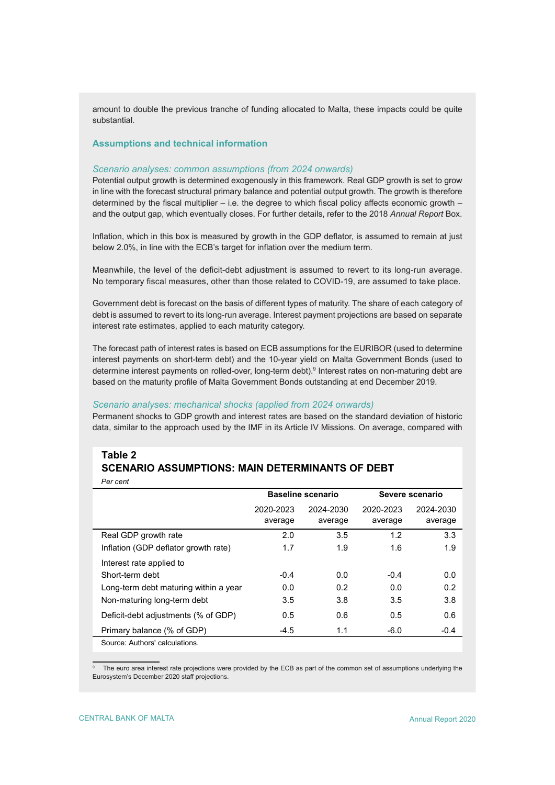amount to double the previous tranche of funding allocated to Malta, these impacts could be quite substantial.

## **Assumptions and technical information**

## *Scenario analyses: common assumptions (from 2024 onwards)*

Potential output growth is determined exogenously in this framework. Real GDP growth is set to grow in line with the forecast structural primary balance and potential output growth. The growth is therefore determined by the fiscal multiplier – i.e. the degree to which fiscal policy affects economic growth – and the output gap, which eventually closes. For further details, refer to the 2018 *Annual Report* Box.

Inflation, which in this box is measured by growth in the GDP deflator, is assumed to remain at just below 2.0%, in line with the ECB's target for inflation over the medium term.

Meanwhile, the level of the deficit-debt adjustment is assumed to revert to its long-run average. No temporary fiscal measures, other than those related to COVID-19, are assumed to take place.

Government debt is forecast on the basis of different types of maturity. The share of each category of debt is assumed to revert to its long-run average. Interest payment projections are based on separate interest rate estimates, applied to each maturity category.

The forecast path of interest rates is based on ECB assumptions for the EURIBOR (used to determine interest payments on short-term debt) and the 10-year yield on Malta Government Bonds (used to determine interest payments on rolled-over, long-term debt).9 Interest rates on non-maturing debt are based on the maturity profile of Malta Government Bonds outstanding at end December 2019.

#### *Scenario analyses: mechanical shocks (applied from 2024 onwards)*

Permanent shocks to GDP growth and interest rates are based on the standard deviation of historic data, similar to the approach used by the IMF in its Article IV Missions. On average, compared with

## **Table 2 SCENARIO ASSUMPTIONS: MAIN DETERMINANTS OF DEBT**

|                                       | <b>Baseline scenario</b> |                      | Severe scenario      |                      |
|---------------------------------------|--------------------------|----------------------|----------------------|----------------------|
|                                       | 2020-2023<br>average     | 2024-2030<br>average | 2020-2023<br>average | 2024-2030<br>average |
| Real GDP growth rate                  | 2.0                      | 3.5                  | 1.2                  | 3.3                  |
| Inflation (GDP deflator growth rate)  | 1.7                      | 1.9                  | 1.6                  | 1.9                  |
| Interest rate applied to              |                          |                      |                      |                      |
| Short-term debt                       | $-0.4$                   | 0.0                  | $-0.4$               | 0.0                  |
| Long-term debt maturing within a year | 0.0                      | 0.2                  | 0.0                  | 0.2                  |
| Non-maturing long-term debt           | 3.5                      | 3.8                  | 3.5                  | 3.8                  |
| Deficit-debt adjustments (% of GDP)   | 0.5                      | 0.6                  | 0.5                  | 0.6                  |
| Primary balance (% of GDP)            | $-4.5$                   | 1.1                  | $-6.0$               | $-0.4$               |
| Source: Authors' calculations.        |                          |                      |                      |                      |

9 The euro area interest rate projections were provided by the ECB as part of the common set of assumptions underlying the Eurosystem's December 2020 staff projections.

*Per cent*